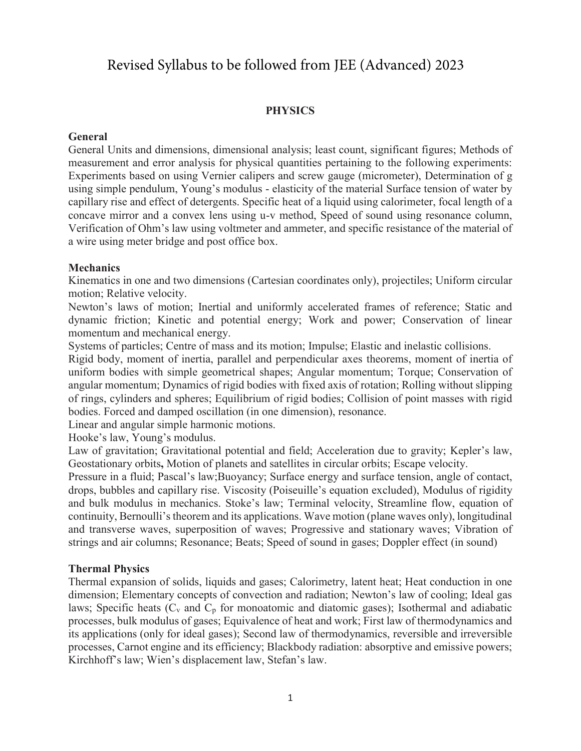# Revised Syllabus to be followed from JEE (Advanced) 2023

#### **PHYSICS**

#### **General**

General Units and dimensions, dimensional analysis; least count, significant figures; Methods of measurement and error analysis for physical quantities pertaining to the following experiments: Experiments based on using Vernier calipers and screw gauge (micrometer), Determination of g using simple pendulum, Young's modulus - elasticity of the material Surface tension of water by capillary rise and effect of detergents. Specific heat of a liquid using calorimeter, focal length of a concave mirror and a convex lens using u-v method, Speed of sound using resonance column, Verification of Ohm's law using voltmeter and ammeter, and specific resistance of the material of a wire using meter bridge and post office box.

#### **Mechanics**

Kinematics in one and two dimensions (Cartesian coordinates only), projectiles; Uniform circular motion; Relative velocity.

Newton's laws of motion; Inertial and uniformly accelerated frames of reference; Static and dynamic friction; Kinetic and potential energy; Work and power; Conservation of linear momentum and mechanical energy.

Systems of particles; Centre of mass and its motion; Impulse; Elastic and inelastic collisions.

Rigid body, moment of inertia, parallel and perpendicular axes theorems, moment of inertia of uniform bodies with simple geometrical shapes; Angular momentum; Torque; Conservation of angular momentum; Dynamics of rigid bodies with fixed axis of rotation; Rolling without slipping of rings, cylinders and spheres; Equilibrium of rigid bodies; Collision of point masses with rigid bodies. Forced and damped oscillation (in one dimension), resonance.

Linear and angular simple harmonic motions.

Hooke's law, Young's modulus.

Law of gravitation; Gravitational potential and field; Acceleration due to gravity; Kepler's law, Geostationary orbits**,** Motion of planets and satellites in circular orbits; Escape velocity.

Pressure in a fluid; Pascal's law;Buoyancy; Surface energy and surface tension, angle of contact, drops, bubbles and capillary rise. Viscosity (Poiseuille's equation excluded), Modulus of rigidity and bulk modulus in mechanics. Stoke's law; Terminal velocity, Streamline flow, equation of continuity, Bernoulli's theorem and its applications. Wave motion (plane waves only), longitudinal and transverse waves, superposition of waves; Progressive and stationary waves; Vibration of strings and air columns; Resonance; Beats; Speed of sound in gases; Doppler effect (in sound)

#### **Thermal Physics**

Thermal expansion of solids, liquids and gases; Calorimetry, latent heat; Heat conduction in one dimension; Elementary concepts of convection and radiation; Newton's law of cooling; Ideal gas laws; Specific heats  $(C_v$  and  $C_p$  for monoatomic and diatomic gases); Isothermal and adiabatic processes, bulk modulus of gases; Equivalence of heat and work; First law of thermodynamics and its applications (only for ideal gases); Second law of thermodynamics, reversible and irreversible processes, Carnot engine and its efficiency; Blackbody radiation: absorptive and emissive powers; Kirchhoff's law; Wien's displacement law, Stefan's law.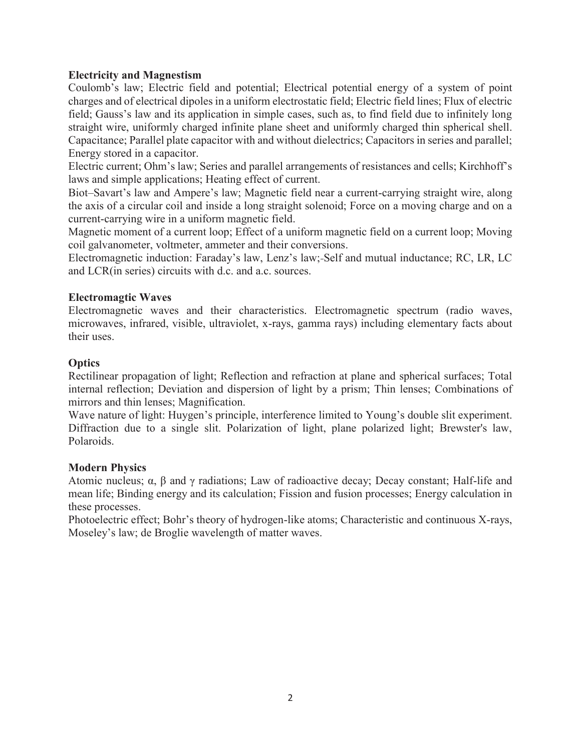## **Electricity and Magnestism**

Coulomb's law; Electric field and potential; Electrical potential energy of a system of point charges and of electrical dipoles in a uniform electrostatic field; Electric field lines; Flux of electric field; Gauss's law and its application in simple cases, such as, to find field due to infinitely long straight wire, uniformly charged infinite plane sheet and uniformly charged thin spherical shell. Capacitance; Parallel plate capacitor with and without dielectrics; Capacitors in series and parallel; Energy stored in a capacitor.

Electric current; Ohm's law; Series and parallel arrangements of resistances and cells; Kirchhoff's laws and simple applications; Heating effect of current.

Biot–Savart's law and Ampere's law; Magnetic field near a current-carrying straight wire, along the axis of a circular coil and inside a long straight solenoid; Force on a moving charge and on a current-carrying wire in a uniform magnetic field.

Magnetic moment of a current loop; Effect of a uniform magnetic field on a current loop; Moving coil galvanometer, voltmeter, ammeter and their conversions.

Electromagnetic induction: Faraday's law, Lenz's law; Self and mutual inductance; RC, LR, LC and LCR(in series) circuits with d.c. and a.c. sources.

#### **Electromagtic Waves**

Electromagnetic waves and their characteristics. Electromagnetic spectrum (radio waves, microwaves, infrared, visible, ultraviolet, x-rays, gamma rays) including elementary facts about their uses.

#### **Optics**

Rectilinear propagation of light; Reflection and refraction at plane and spherical surfaces; Total internal reflection; Deviation and dispersion of light by a prism; Thin lenses; Combinations of mirrors and thin lenses; Magnification.

Wave nature of light: Huygen's principle, interference limited to Young's double slit experiment. Diffraction due to a single slit. Polarization of light, plane polarized light; Brewster's law, Polaroids.

#### **Modern Physics**

Atomic nucleus;  $\alpha$ , β and γ radiations; Law of radioactive decay; Decay constant; Half-life and mean life; Binding energy and its calculation; Fission and fusion processes; Energy calculation in these processes.

Photoelectric effect; Bohr's theory of hydrogen-like atoms; Characteristic and continuous X-rays, Moseley's law; de Broglie wavelength of matter waves.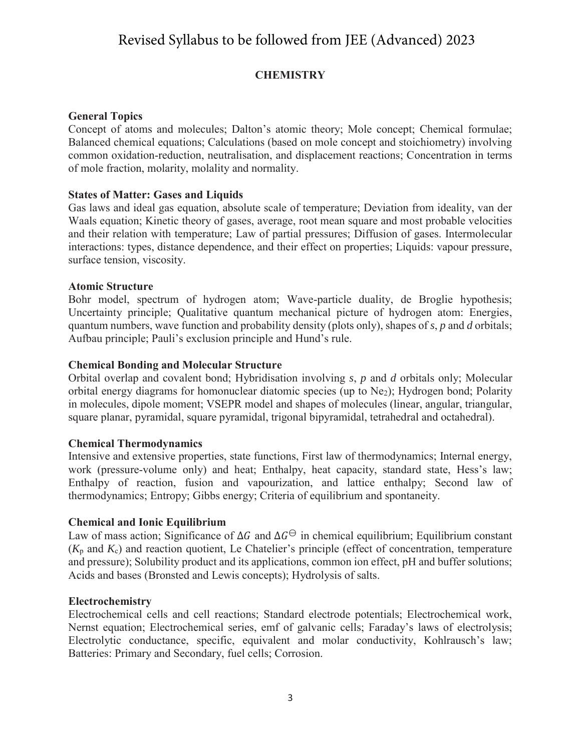# Revised Syllabus to be followed from JEE (Advanced) 2023

# **CHEMISTRY**

#### **General Topics**

Concept of atoms and molecules; Dalton's atomic theory; Mole concept; Chemical formulae; Balanced chemical equations; Calculations (based on mole concept and stoichiometry) involving common oxidation-reduction, neutralisation, and displacement reactions; Concentration in terms of mole fraction, molarity, molality and normality.

#### **States of Matter: Gases and Liquids**

Gas laws and ideal gas equation, absolute scale of temperature; Deviation from ideality, van der Waals equation; Kinetic theory of gases, average, root mean square and most probable velocities and their relation with temperature; Law of partial pressures; Diffusion of gases. Intermolecular interactions: types, distance dependence, and their effect on properties; Liquids: vapour pressure, surface tension, viscosity.

#### **Atomic Structure**

Bohr model, spectrum of hydrogen atom; Wave-particle duality, de Broglie hypothesis; Uncertainty principle; Qualitative quantum mechanical picture of hydrogen atom: Energies, quantum numbers, wave function and probability density (plots only), shapes of *s*, *p* and *d* orbitals; Aufbau principle; Pauli's exclusion principle and Hund's rule.

## **Chemical Bonding and Molecular Structure**

Orbital overlap and covalent bond; Hybridisation involving *s*, *p* and *d* orbitals only; Molecular orbital energy diagrams for homonuclear diatomic species (up to Ne2); Hydrogen bond; Polarity in molecules, dipole moment; VSEPR model and shapes of molecules (linear, angular, triangular, square planar, pyramidal, square pyramidal, trigonal bipyramidal, tetrahedral and octahedral).

#### **Chemical Thermodynamics**

Intensive and extensive properties, state functions, First law of thermodynamics; Internal energy, work (pressure-volume only) and heat; Enthalpy, heat capacity, standard state, Hess's law; Enthalpy of reaction, fusion and vapourization, and lattice enthalpy; Second law of thermodynamics; Entropy; Gibbs energy; Criteria of equilibrium and spontaneity.

#### **Chemical and Ionic Equilibrium**

Law of mass action; Significance of  $\Delta G$  and  $\Delta G^{\ominus}$  in chemical equilibrium; Equilibrium constant  $(K_p \text{ and } K_c)$  and reaction quotient, Le Chatelier's principle (effect of concentration, temperature and pressure); Solubility product and its applications, common ion effect, pH and buffer solutions; Acids and bases (Bronsted and Lewis concepts); Hydrolysis of salts.

#### **Electrochemistry**

Electrochemical cells and cell reactions; Standard electrode potentials; Electrochemical work, Nernst equation; Electrochemical series, emf of galvanic cells; Faraday's laws of electrolysis; Electrolytic conductance, specific, equivalent and molar conductivity, Kohlrausch's law; Batteries: Primary and Secondary, fuel cells; Corrosion.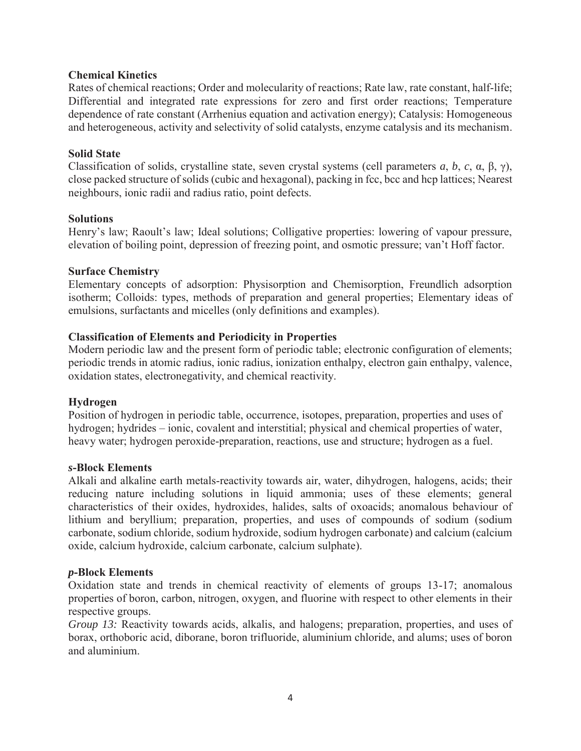#### **Chemical Kinetics**

Rates of chemical reactions; Order and molecularity of reactions; Rate law, rate constant, half-life; Differential and integrated rate expressions for zero and first order reactions; Temperature dependence of rate constant (Arrhenius equation and activation energy); Catalysis: Homogeneous and heterogeneous, activity and selectivity of solid catalysts, enzyme catalysis and its mechanism.

#### **Solid State**

Classification of solids, crystalline state, seven crystal systems (cell parameters *a*, *b*, *c*, α, β, γ), close packed structure of solids (cubic and hexagonal), packing in fcc, bcc and hcp lattices; Nearest neighbours, ionic radii and radius ratio, point defects.

#### **Solutions**

Henry's law; Raoult's law; Ideal solutions; Colligative properties: lowering of vapour pressure, elevation of boiling point, depression of freezing point, and osmotic pressure; van't Hoff factor.

#### **Surface Chemistry**

Elementary concepts of adsorption: Physisorption and Chemisorption, Freundlich adsorption isotherm; Colloids: types, methods of preparation and general properties; Elementary ideas of emulsions, surfactants and micelles (only definitions and examples).

#### **Classification of Elements and Periodicity in Properties**

Modern periodic law and the present form of periodic table; electronic configuration of elements; periodic trends in atomic radius, ionic radius, ionization enthalpy, electron gain enthalpy, valence, oxidation states, electronegativity, and chemical reactivity.

#### **Hydrogen**

Position of hydrogen in periodic table, occurrence, isotopes, preparation, properties and uses of hydrogen; hydrides – ionic, covalent and interstitial; physical and chemical properties of water, heavy water; hydrogen peroxide-preparation, reactions, use and structure; hydrogen as a fuel.

#### *s***-Block Elements**

Alkali and alkaline earth metals-reactivity towards air, water, dihydrogen, halogens, acids; their reducing nature including solutions in liquid ammonia; uses of these elements; general characteristics of their oxides, hydroxides, halides, salts of oxoacids; anomalous behaviour of lithium and beryllium; preparation, properties, and uses of compounds of sodium (sodium carbonate, sodium chloride, sodium hydroxide, sodium hydrogen carbonate) and calcium (calcium oxide, calcium hydroxide, calcium carbonate, calcium sulphate).

#### *p***-Block Elements**

Oxidation state and trends in chemical reactivity of elements of groups 13-17; anomalous properties of boron, carbon, nitrogen, oxygen, and fluorine with respect to other elements in their respective groups.

*Group 13:* Reactivity towards acids, alkalis, and halogens; preparation, properties, and uses of borax, orthoboric acid, diborane, boron trifluoride, aluminium chloride, and alums; uses of boron and aluminium.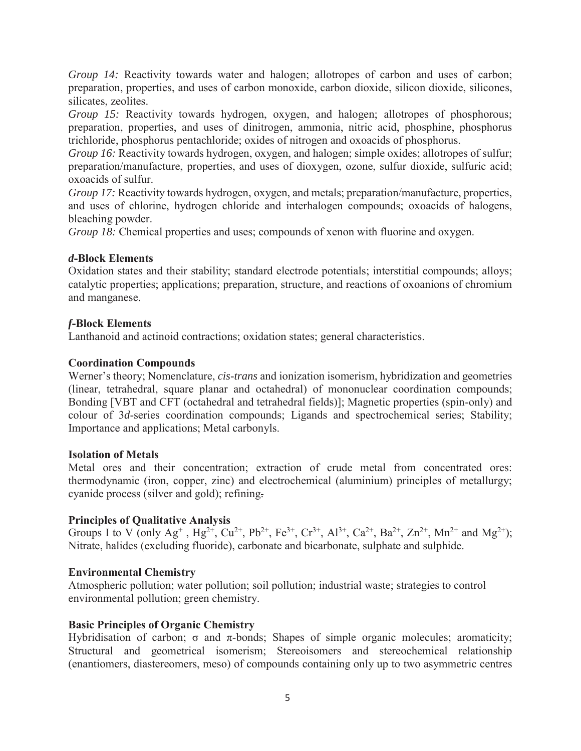*Group 14:* Reactivity towards water and halogen; allotropes of carbon and uses of carbon; preparation, properties, and uses of carbon monoxide, carbon dioxide, silicon dioxide, silicones, silicates, zeolites.

*Group 15:* Reactivity towards hydrogen, oxygen, and halogen; allotropes of phosphorous; preparation, properties, and uses of dinitrogen, ammonia, nitric acid, phosphine, phosphorus trichloride, phosphorus pentachloride; oxides of nitrogen and oxoacids of phosphorus.

*Group 16:* Reactivity towards hydrogen, oxygen, and halogen; simple oxides; allotropes of sulfur; preparation/manufacture, properties, and uses of dioxygen, ozone, sulfur dioxide, sulfuric acid; oxoacids of sulfur.

*Group 17:* Reactivity towards hydrogen, oxygen, and metals; preparation/manufacture, properties, and uses of chlorine, hydrogen chloride and interhalogen compounds; oxoacids of halogens, bleaching powder.

*Group 18:* Chemical properties and uses; compounds of xenon with fluorine and oxygen.

## *d***-Block Elements**

Oxidation states and their stability; standard electrode potentials; interstitial compounds; alloys; catalytic properties; applications; preparation, structure, and reactions of oxoanions of chromium and manganese.

# *f***-Block Elements**

Lanthanoid and actinoid contractions; oxidation states; general characteristics.

## **Coordination Compounds**

Werner's theory; Nomenclature, *cis*-*trans* and ionization isomerism, hybridization and geometries (linear, tetrahedral, square planar and octahedral) of mononuclear coordination compounds; Bonding [VBT and CFT (octahedral and tetrahedral fields)]; Magnetic properties (spin-only) and colour of 3*d*-series coordination compounds; Ligands and spectrochemical series; Stability; Importance and applications; Metal carbonyls.

#### **Isolation of Metals**

Metal ores and their concentration; extraction of crude metal from concentrated ores: thermodynamic (iron, copper, zinc) and electrochemical (aluminium) principles of metallurgy; cyanide process (silver and gold); refining.

#### **Principles of Qualitative Analysis**

Groups I to V (only  $Ag^+$ ,  $Hg^{2+}$ ,  $Cu^{2+}$ ,  $Pb^{2+}$ ,  $Fe^{3+}$ ,  $Cr^{3+}$ ,  $Al^{3+}$ ,  $Ca^{2+}$ ,  $Ba^{2+}$ ,  $Zn^{2+}$ ,  $Mn^{2+}$  and  $Mg^{2+}$ ); Nitrate, halides (excluding fluoride), carbonate and bicarbonate, sulphate and sulphide.

#### **Environmental Chemistry**

Atmospheric pollution; water pollution; soil pollution; industrial waste; strategies to control environmental pollution; green chemistry.

#### **Basic Principles of Organic Chemistry**

Hybridisation of carbon;  $\sigma$  and π-bonds; Shapes of simple organic molecules; aromaticity; Structural and geometrical isomerism; Stereoisomers and stereochemical relationship (enantiomers, diastereomers, meso) of compounds containing only up to two asymmetric centres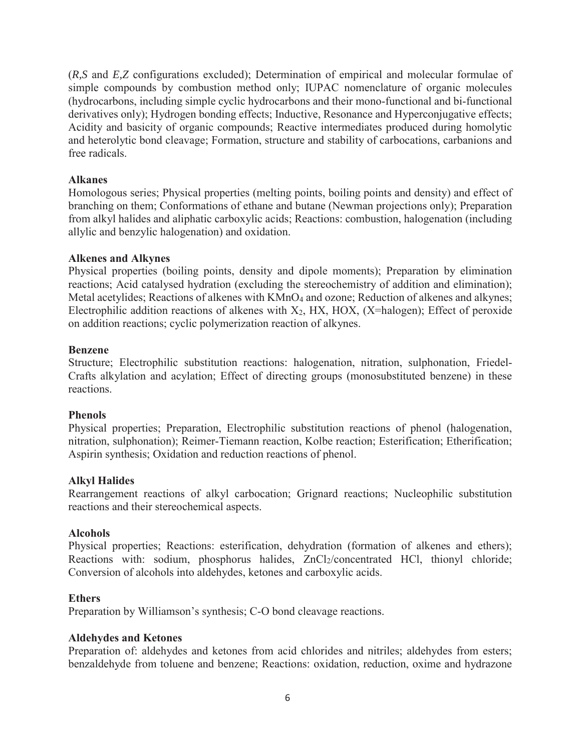(*R,S* and *E,Z* configurations excluded); Determination of empirical and molecular formulae of simple compounds by combustion method only; IUPAC nomenclature of organic molecules (hydrocarbons, including simple cyclic hydrocarbons and their mono-functional and bi-functional derivatives only); Hydrogen bonding effects; Inductive, Resonance and Hyperconjugative effects; Acidity and basicity of organic compounds; Reactive intermediates produced during homolytic and heterolytic bond cleavage; Formation, structure and stability of carbocations, carbanions and free radicals.

## **Alkanes**

Homologous series; Physical properties (melting points, boiling points and density) and effect of branching on them; Conformations of ethane and butane (Newman projections only); Preparation from alkyl halides and aliphatic carboxylic acids; Reactions: combustion, halogenation (including allylic and benzylic halogenation) and oxidation.

## **Alkenes and Alkynes**

Physical properties (boiling points, density and dipole moments); Preparation by elimination reactions; Acid catalysed hydration (excluding the stereochemistry of addition and elimination); Metal acetylides; Reactions of alkenes with KMnO<sub>4</sub> and ozone; Reduction of alkenes and alkynes; Electrophilic addition reactions of alkenes with  $X_2$ , HX, HOX, (X=halogen); Effect of peroxide on addition reactions; cyclic polymerization reaction of alkynes.

#### **Benzene**

Structure; Electrophilic substitution reactions: halogenation, nitration, sulphonation, Friedel-Crafts alkylation and acylation; Effect of directing groups (monosubstituted benzene) in these reactions.

#### **Phenols**

Physical properties; Preparation, Electrophilic substitution reactions of phenol (halogenation, nitration, sulphonation); Reimer-Tiemann reaction, Kolbe reaction; Esterification; Etherification; Aspirin synthesis; Oxidation and reduction reactions of phenol.

# **Alkyl Halides**

Rearrangement reactions of alkyl carbocation; Grignard reactions; Nucleophilic substitution reactions and their stereochemical aspects.

#### **Alcohols**

Physical properties; Reactions: esterification, dehydration (formation of alkenes and ethers); Reactions with: sodium, phosphorus halides, ZnCl2/concentrated HCl, thionyl chloride; Conversion of alcohols into aldehydes, ketones and carboxylic acids.

#### **Ethers**

Preparation by Williamson's synthesis; C-O bond cleavage reactions.

#### **Aldehydes and Ketones**

Preparation of: aldehydes and ketones from acid chlorides and nitriles; aldehydes from esters; benzaldehyde from toluene and benzene; Reactions: oxidation, reduction, oxime and hydrazone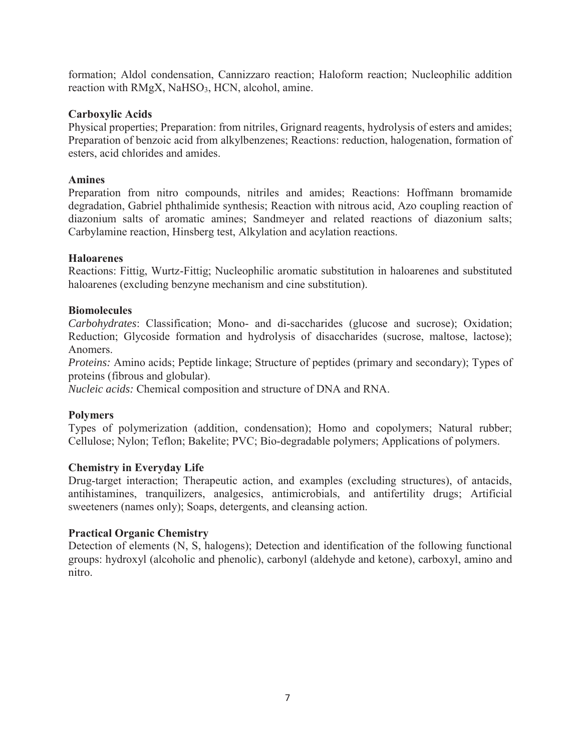formation; Aldol condensation, Cannizzaro reaction; Haloform reaction; Nucleophilic addition reaction with RMgX, NaHSO<sub>3</sub>, HCN, alcohol, amine.

#### **Carboxylic Acids**

Physical properties; Preparation: from nitriles, Grignard reagents, hydrolysis of esters and amides; Preparation of benzoic acid from alkylbenzenes; Reactions: reduction, halogenation, formation of esters, acid chlorides and amides.

#### **Amines**

Preparation from nitro compounds, nitriles and amides; Reactions: Hoffmann bromamide degradation, Gabriel phthalimide synthesis; Reaction with nitrous acid, Azo coupling reaction of diazonium salts of aromatic amines; Sandmeyer and related reactions of diazonium salts; Carbylamine reaction, Hinsberg test, Alkylation and acylation reactions.

## **Haloarenes**

Reactions: Fittig, Wurtz-Fittig; Nucleophilic aromatic substitution in haloarenes and substituted haloarenes (excluding benzyne mechanism and cine substitution).

## **Biomolecules**

*Carbohydrates*: Classification; Mono- and di-saccharides (glucose and sucrose); Oxidation; Reduction; Glycoside formation and hydrolysis of disaccharides (sucrose, maltose, lactose); Anomers.

*Proteins:* Amino acids; Peptide linkage; Structure of peptides (primary and secondary); Types of proteins (fibrous and globular).

*Nucleic acids:* Chemical composition and structure of DNA and RNA.

# **Polymers**

Types of polymerization (addition, condensation); Homo and copolymers; Natural rubber; Cellulose; Nylon; Teflon; Bakelite; PVC; Bio-degradable polymers; Applications of polymers.

#### **Chemistry in Everyday Life**

Drug-target interaction; Therapeutic action, and examples (excluding structures), of antacids, antihistamines, tranquilizers, analgesics, antimicrobials, and antifertility drugs; Artificial sweeteners (names only); Soaps, detergents, and cleansing action.

#### **Practical Organic Chemistry**

Detection of elements (N, S, halogens); Detection and identification of the following functional groups: hydroxyl (alcoholic and phenolic), carbonyl (aldehyde and ketone), carboxyl, amino and nitro.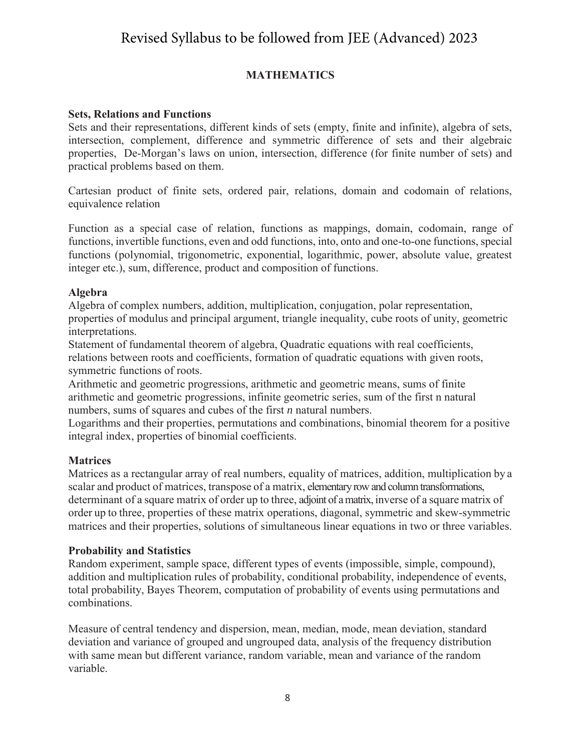# Revised Syllabus to be followed from JEE (Advanced) 2023

# **MATHEMATICS**

#### **Sets, Relations and Functions**

Sets and their representations, different kinds of sets (empty, finite and infinite), algebra of sets, intersection, complement, difference and symmetric difference of sets and their algebraic properties, De-Morgan's laws on union, intersection, difference (for finite number of sets) and practical problems based on them.

Cartesian product of finite sets, ordered pair, relations, domain and codomain of relations, equivalence relation

Function as a special case of relation, functions as mappings, domain, codomain, range of functions, invertible functions, even and odd functions, into, onto and one-to-one functions, special functions (polynomial, trigonometric, exponential, logarithmic, power, absolute value, greatest integer etc.), sum, difference, product and composition of functions.

## **Algebra**

Algebra of complex numbers, addition, multiplication, conjugation, polar representation, properties of modulus and principal argument, triangle inequality, cube roots of unity, geometric interpretations.

Statement of fundamental theorem of algebra, Quadratic equations with real coefficients, relations between roots and coefficients, formation of quadratic equations with given roots, symmetric functions of roots.

Arithmetic and geometric progressions, arithmetic and geometric means, sums of finite arithmetic and geometric progressions, infinite geometric series, sum of the first n natural numbers, sums of squares and cubes of the first *n* natural numbers.

Logarithms and their properties, permutations and combinations, binomial theorem for a positive integral index, properties of binomial coefficients.

# **Matrices**

Matrices as a rectangular array of real numbers, equality of matrices, addition, multiplication by a scalar and product of matrices, transpose of a matrix, elementary row and column transformations, determinant of a square matrix of order up to three, adjoint of a matrix, inverse of a square matrix of order up to three, properties of these matrix operations, diagonal, symmetric and skew-symmetric matrices and their properties, solutions of simultaneous linear equations in two or three variables.

#### **Probability and Statistics**

Random experiment, sample space, different types of events (impossible, simple, compound), addition and multiplication rules of probability, conditional probability, independence of events, total probability, Bayes Theorem, computation of probability of events using permutations and combinations.

Measure of central tendency and dispersion, mean, median, mode, mean deviation, standard deviation and variance of grouped and ungrouped data, analysis of the frequency distribution with same mean but different variance, random variable, mean and variance of the random variable.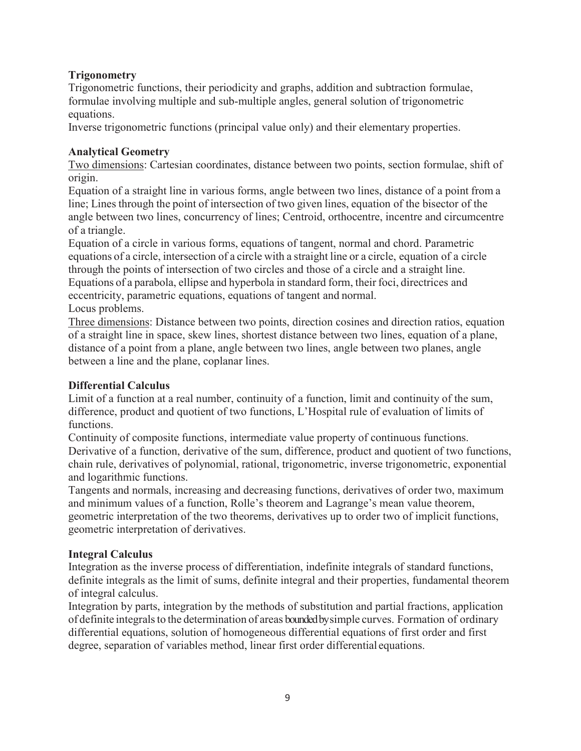# **Trigonometry**

Trigonometric functions, their periodicity and graphs, addition and subtraction formulae, formulae involving multiple and sub-multiple angles, general solution of trigonometric equations.

Inverse trigonometric functions (principal value only) and their elementary properties.

# **Analytical Geometry**

 Two dimensions: Cartesian coordinates, distance between two points, section formulae, shift of origin.

Equation of a straight line in various forms, angle between two lines, distance of a point from a line; Lines through the point of intersection of two given lines, equation of the bisector of the angle between two lines, concurrency of lines; Centroid, orthocentre, incentre and circumcentre of a triangle.

Equation of a circle in various forms, equations of tangent, normal and chord. Parametric equations of a circle, intersection of a circle with a straight line or a circle, equation of a circle through the points of intersection of two circles and those of a circle and a straight line. Equations of a parabola, ellipse and hyperbola in standard form, their foci, directrices and eccentricity, parametric equations, equations of tangent and normal. Locus problems.

 Three dimensions: Distance between two points, direction cosines and direction ratios, equation of a straight line in space, skew lines, shortest distance between two lines, equation of a plane, distance of a point from a plane, angle between two lines, angle between two planes, angle between a line and the plane, coplanar lines.

# **Differential Calculus**

Limit of a function at a real number, continuity of a function, limit and continuity of the sum, difference, product and quotient of two functions, L'Hospital rule of evaluation of limits of functions.

Continuity of composite functions, intermediate value property of continuous functions. Derivative of a function, derivative of the sum, difference, product and quotient of two functions, chain rule, derivatives of polynomial, rational, trigonometric, inverse trigonometric, exponential and logarithmic functions.

Tangents and normals, increasing and decreasing functions, derivatives of order two, maximum and minimum values of a function, Rolle's theorem and Lagrange's mean value theorem, geometric interpretation of the two theorems, derivatives up to order two of implicit functions, geometric interpretation of derivatives.

# **Integral Calculus**

Integration as the inverse process of differentiation, indefinite integrals of standard functions, definite integrals as the limit of sums, definite integral and their properties, fundamental theorem of integral calculus.

Integration by parts, integration by the methods of substitution and partial fractions, application of definite integrals to the determination of areas bounded by simple curves. Formation of ordinary differential equations, solution of homogeneous differential equations of first order and first degree, separation of variables method, linear first order differential equations.